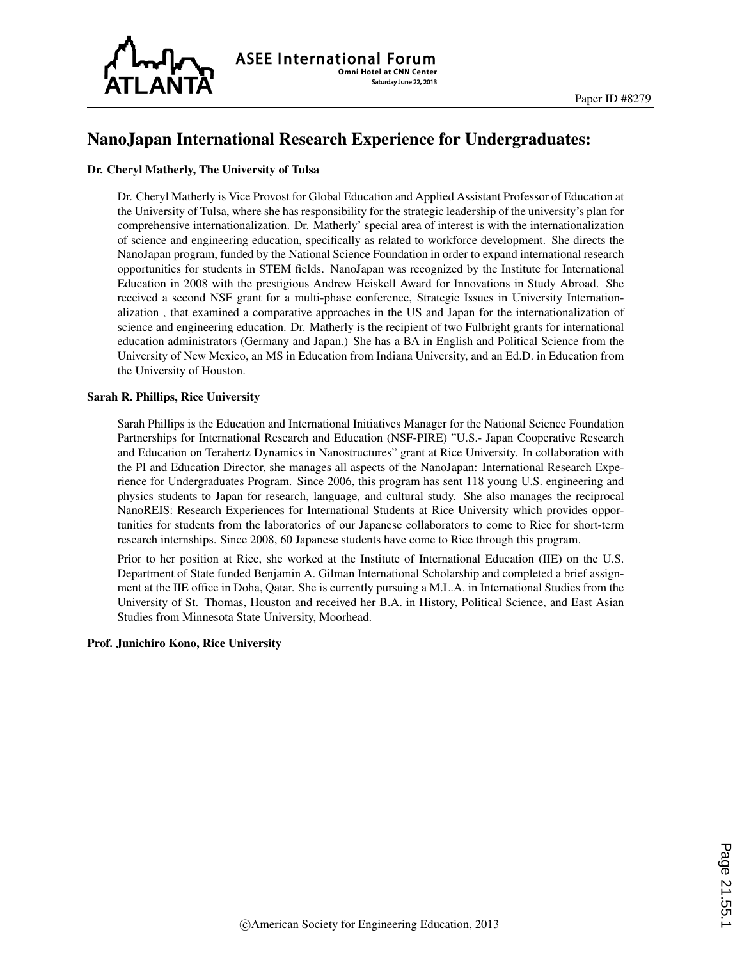

## NanoJapan International Research Experience for Undergraduates:

#### Dr. Cheryl Matherly, The University of Tulsa

Dr. Cheryl Matherly is Vice Provost for Global Education and Applied Assistant Professor of Education at the University of Tulsa, where she has responsibility for the strategic leadership of the university's plan for comprehensive internationalization. Dr. Matherly' special area of interest is with the internationalization of science and engineering education, specifically as related to workforce development. She directs the NanoJapan program, funded by the National Science Foundation in order to expand international research opportunities for students in STEM fields. NanoJapan was recognized by the Institute for International Education in 2008 with the prestigious Andrew Heiskell Award for Innovations in Study Abroad. She received a second NSF grant for a multi-phase conference, Strategic Issues in University Internationalization , that examined a comparative approaches in the US and Japan for the internationalization of science and engineering education. Dr. Matherly is the recipient of two Fulbright grants for international education administrators (Germany and Japan.) She has a BA in English and Political Science from the University of New Mexico, an MS in Education from Indiana University, and an Ed.D. in Education from the University of Houston.

#### Sarah R. Phillips, Rice University

Sarah Phillips is the Education and International Initiatives Manager for the National Science Foundation Partnerships for International Research and Education (NSF-PIRE) "U.S.- Japan Cooperative Research and Education on Terahertz Dynamics in Nanostructures" grant at Rice University. In collaboration with the PI and Education Director, she manages all aspects of the NanoJapan: International Research Experience for Undergraduates Program. Since 2006, this program has sent 118 young U.S. engineering and physics students to Japan for research, language, and cultural study. She also manages the reciprocal NanoREIS: Research Experiences for International Students at Rice University which provides opportunities for students from the laboratories of our Japanese collaborators to come to Rice for short-term research internships. Since 2008, 60 Japanese students have come to Rice through this program.

Prior to her position at Rice, she worked at the Institute of International Education (IIE) on the U.S. Department of State funded Benjamin A. Gilman International Scholarship and completed a brief assignment at the IIE office in Doha, Qatar. She is currently pursuing a M.L.A. in International Studies from the University of St. Thomas, Houston and received her B.A. in History, Political Science, and East Asian Studies from Minnesota State University, Moorhead.

#### Prof. Junichiro Kono, Rice University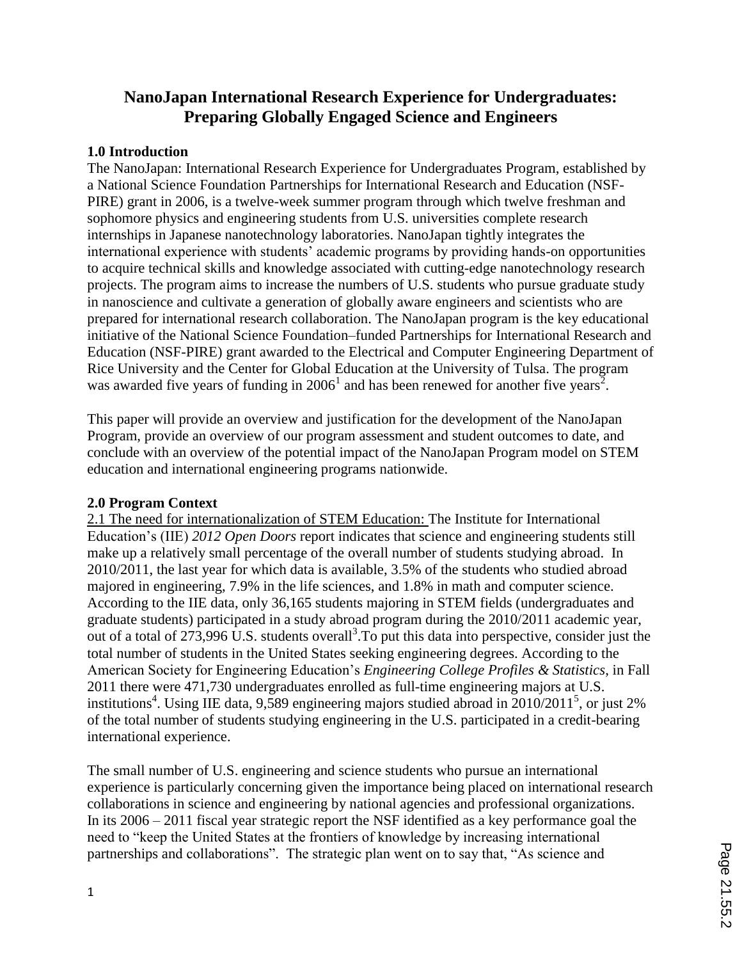# **NanoJapan International Research Experience for Undergraduates: Preparing Globally Engaged Science and Engineers**

### **1.0 Introduction**

The NanoJapan: International Research Experience for Undergraduates Program, established by a National Science Foundation Partnerships for International Research and Education (NSF-PIRE) grant in 2006, is a twelve-week summer program through which twelve freshman and sophomore physics and engineering students from U.S. universities complete research internships in Japanese nanotechnology laboratories. NanoJapan tightly integrates the international experience with students' academic programs by providing hands-on opportunities to acquire technical skills and knowledge associated with cutting-edge nanotechnology research projects. The program aims to increase the numbers of U.S. students who pursue graduate study in nanoscience and cultivate a generation of globally aware engineers and scientists who are prepared for international research collaboration. The NanoJapan program is the key educational initiative of the National Science Foundation–funded Partnerships for International Research and Education (NSF-PIRE) grant awarded to the Electrical and Computer Engineering Department of Rice University and the Center for Global Education at the University of Tulsa. The program was awarded five years of funding in  $2006<sup>1</sup>$  and has been renewed for another five years<sup>2</sup>.

This paper will provide an overview and justification for the development of the NanoJapan Program, provide an overview of our program assessment and student outcomes to date, and conclude with an overview of the potential impact of the NanoJapan Program model on STEM education and international engineering programs nationwide.

### **2.0 Program Context**

2.1 The need for internationalization of STEM Education: The Institute for International Education's (IIE) *2012 Open Doors* report indicates that science and engineering students still make up a relatively small percentage of the overall number of students studying abroad. In 2010/2011, the last year for which data is available, 3.5% of the students who studied abroad majored in engineering, 7.9% in the life sciences, and 1.8% in math and computer science. According to the IIE data, only 36,165 students majoring in STEM fields (undergraduates and graduate students) participated in a study abroad program during the 2010/2011 academic year, out of a total of  $273,996$  U.S. students overall<sup>3</sup>. To put this data into perspective, consider just the total number of students in the United States seeking engineering degrees. According to the American Society for Engineering Education's *Engineering College Profiles & Statistics*, in Fall 2011 there were 471,730 undergraduates enrolled as full-time engineering majors at U.S. institutions<sup>4</sup>. Using IIE data, 9,589 engineering majors studied abroad in  $2010/2011^5$ , or just 2% of the total number of students studying engineering in the U.S. participated in a credit-bearing international experience.

The small number of U.S. engineering and science students who pursue an international experience is particularly concerning given the importance being placed on international research collaborations in science and engineering by national agencies and professional organizations. In its 2006 – 2011 fiscal year strategic report the NSF identified as a key performance goal the need to "keep the United States at the frontiers of knowledge by increasing international partnerships and collaborations". The strategic plan went on to say that, "As science and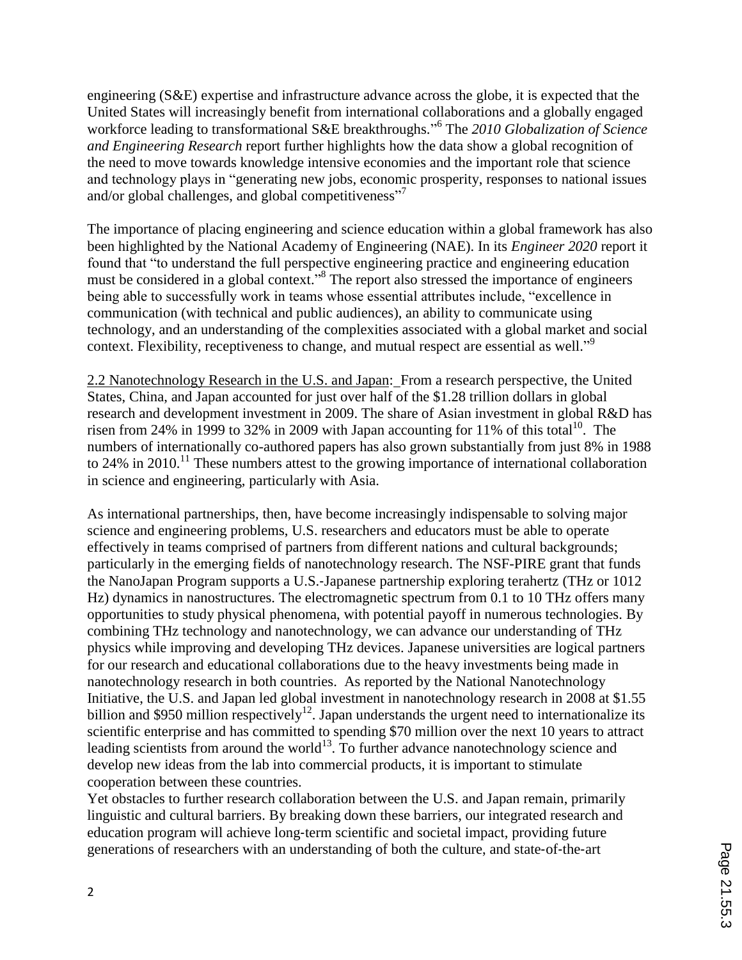engineering (S&E) expertise and infrastructure advance across the globe, it is expected that the United States will increasingly benefit from international collaborations and a globally engaged workforce leading to transformational S&E breakthroughs." 6 The *2010 Globalization of Science and Engineering Research* report further highlights how the data show a global recognition of the need to move towards knowledge intensive economies and the important role that science and technology plays in "generating new jobs, economic prosperity, responses to national issues and/or global challenges, and global competitiveness"<sup>7</sup>

The importance of placing engineering and science education within a global framework has also been highlighted by the National Academy of Engineering (NAE). In its *Engineer 2020* report it found that "to understand the full perspective engineering practice and engineering education must be considered in a global context."<sup>8</sup> The report also stressed the importance of engineers being able to successfully work in teams whose essential attributes include, "excellence in communication (with technical and public audiences), an ability to communicate using technology, and an understanding of the complexities associated with a global market and social context. Flexibility, receptiveness to change, and mutual respect are essential as well."<sup>9</sup>

2.2 Nanotechnology Research in the U.S. and Japan: From a research perspective, the United States, China, and Japan accounted for just over half of the \$1.28 trillion dollars in global research and development investment in 2009. The share of Asian investment in global R&D has risen from 24% in 1999 to 32% in 2009 with Japan accounting for 11% of this total<sup>10</sup>. The numbers of internationally co-authored papers has also grown substantially from just 8% in 1988 to 24% in 2010.<sup>11</sup> These numbers attest to the growing importance of international collaboration in science and engineering, particularly with Asia.

As international partnerships, then, have become increasingly indispensable to solving major science and engineering problems, U.S. researchers and educators must be able to operate effectively in teams comprised of partners from different nations and cultural backgrounds; particularly in the emerging fields of nanotechnology research. The NSF-PIRE grant that funds the NanoJapan Program supports a U.S.‐Japanese partnership exploring terahertz (THz or 1012 Hz) dynamics in nanostructures. The electromagnetic spectrum from 0.1 to 10 THz offers many opportunities to study physical phenomena, with potential payoff in numerous technologies. By combining THz technology and nanotechnology, we can advance our understanding of THz physics while improving and developing THz devices. Japanese universities are logical partners for our research and educational collaborations due to the heavy investments being made in nanotechnology research in both countries. As reported by the National Nanotechnology Initiative, the U.S. and Japan led global investment in nanotechnology research in 2008 at \$1.55 billion and \$950 million respectively<sup>12</sup>. Japan understands the urgent need to internationalize its scientific enterprise and has committed to spending \$70 million over the next 10 years to attract leading scientists from around the world $^{13}$ . To further advance nanotechnology science and develop new ideas from the lab into commercial products, it is important to stimulate cooperation between these countries.

Yet obstacles to further research collaboration between the U.S. and Japan remain, primarily linguistic and cultural barriers. By breaking down these barriers, our integrated research and education program will achieve long‐term scientific and societal impact, providing future generations of researchers with an understanding of both the culture, and state‐of‐the‐art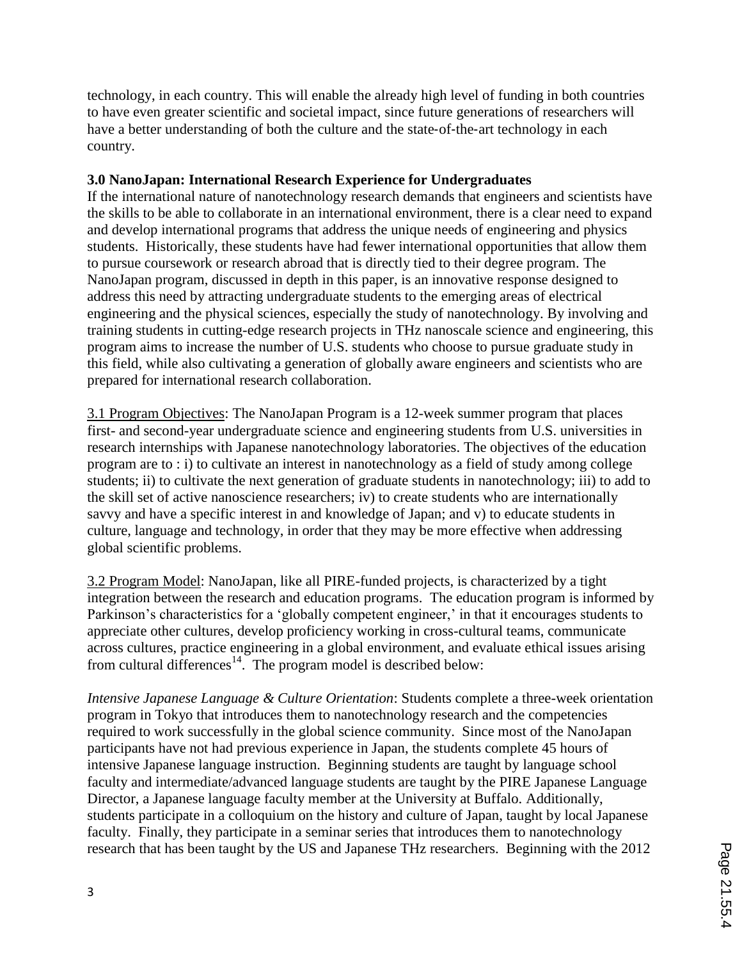technology, in each country. This will enable the already high level of funding in both countries to have even greater scientific and societal impact, since future generations of researchers will have a better understanding of both the culture and the state-of-the-art technology in each country.

### **3.0 NanoJapan: International Research Experience for Undergraduates**

If the international nature of nanotechnology research demands that engineers and scientists have the skills to be able to collaborate in an international environment, there is a clear need to expand and develop international programs that address the unique needs of engineering and physics students. Historically, these students have had fewer international opportunities that allow them to pursue coursework or research abroad that is directly tied to their degree program. The NanoJapan program, discussed in depth in this paper, is an innovative response designed to address this need by attracting undergraduate students to the emerging areas of electrical engineering and the physical sciences, especially the study of nanotechnology. By involving and training students in cutting-edge research projects in THz nanoscale science and engineering, this program aims to increase the number of U.S. students who choose to pursue graduate study in this field, while also cultivating a generation of globally aware engineers and scientists who are prepared for international research collaboration.

3.1 Program Objectives: The NanoJapan Program is a 12-week summer program that places first- and second-year undergraduate science and engineering students from U.S. universities in research internships with Japanese nanotechnology laboratories. The objectives of the education program are to : i) to cultivate an interest in nanotechnology as a field of study among college students; ii) to cultivate the next generation of graduate students in nanotechnology; iii) to add to the skill set of active nanoscience researchers; iv) to create students who are internationally savvy and have a specific interest in and knowledge of Japan; and v) to educate students in culture, language and technology, in order that they may be more effective when addressing global scientific problems.

3.2 Program Model: NanoJapan, like all PIRE-funded projects, is characterized by a tight integration between the research and education programs. The education program is informed by Parkinson's characteristics for a 'globally competent engineer,' in that it encourages students to appreciate other cultures, develop proficiency working in cross-cultural teams, communicate across cultures, practice engineering in a global environment, and evaluate ethical issues arising from cultural differences<sup>14</sup>. The program model is described below:

*Intensive Japanese Language & Culture Orientation*: Students complete a three-week orientation program in Tokyo that introduces them to nanotechnology research and the competencies required to work successfully in the global science community. Since most of the NanoJapan participants have not had previous experience in Japan, the students complete 45 hours of intensive Japanese language instruction. Beginning students are taught by language school faculty and intermediate/advanced language students are taught by the PIRE Japanese Language Director, a Japanese language faculty member at the University at Buffalo. Additionally, students participate in a colloquium on the history and culture of Japan, taught by local Japanese faculty. Finally, they participate in a seminar series that introduces them to nanotechnology research that has been taught by the US and Japanese THz researchers. Beginning with the 2012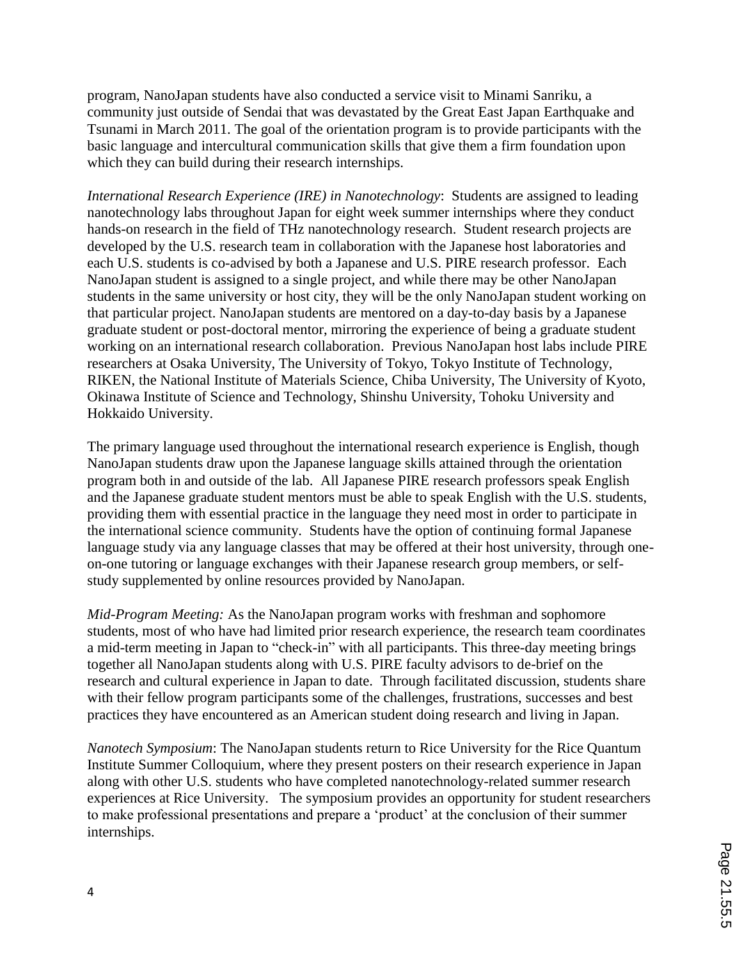program, NanoJapan students have also conducted a service visit to Minami Sanriku, a community just outside of Sendai that was devastated by the Great East Japan Earthquake and Tsunami in March 2011. The goal of the orientation program is to provide participants with the basic language and intercultural communication skills that give them a firm foundation upon which they can build during their research internships.

*International Research Experience (IRE) in Nanotechnology*: Students are assigned to leading nanotechnology labs throughout Japan for eight week summer internships where they conduct hands-on research in the field of THz nanotechnology research. Student research projects are developed by the U.S. research team in collaboration with the Japanese host laboratories and each U.S. students is co-advised by both a Japanese and U.S. PIRE research professor. Each NanoJapan student is assigned to a single project, and while there may be other NanoJapan students in the same university or host city, they will be the only NanoJapan student working on that particular project. NanoJapan students are mentored on a day-to-day basis by a Japanese graduate student or post-doctoral mentor, mirroring the experience of being a graduate student working on an international research collaboration. Previous NanoJapan host labs include PIRE researchers at Osaka University, The University of Tokyo, Tokyo Institute of Technology, RIKEN, the National Institute of Materials Science, Chiba University, The University of Kyoto, Okinawa Institute of Science and Technology, Shinshu University, Tohoku University and Hokkaido University.

The primary language used throughout the international research experience is English, though NanoJapan students draw upon the Japanese language skills attained through the orientation program both in and outside of the lab. All Japanese PIRE research professors speak English and the Japanese graduate student mentors must be able to speak English with the U.S. students, providing them with essential practice in the language they need most in order to participate in the international science community. Students have the option of continuing formal Japanese language study via any language classes that may be offered at their host university, through oneon-one tutoring or language exchanges with their Japanese research group members, or selfstudy supplemented by online resources provided by NanoJapan.

*Mid-Program Meeting:* As the NanoJapan program works with freshman and sophomore students, most of who have had limited prior research experience, the research team coordinates a mid-term meeting in Japan to "check-in" with all participants. This three-day meeting brings together all NanoJapan students along with U.S. PIRE faculty advisors to de-brief on the research and cultural experience in Japan to date. Through facilitated discussion, students share with their fellow program participants some of the challenges, frustrations, successes and best practices they have encountered as an American student doing research and living in Japan.

*Nanotech Symposium*: The NanoJapan students return to Rice University for the Rice Quantum Institute Summer Colloquium, where they present posters on their research experience in Japan along with other U.S. students who have completed nanotechnology-related summer research experiences at Rice University. The symposium provides an opportunity for student researchers to make professional presentations and prepare a 'product' at the conclusion of their summer internships.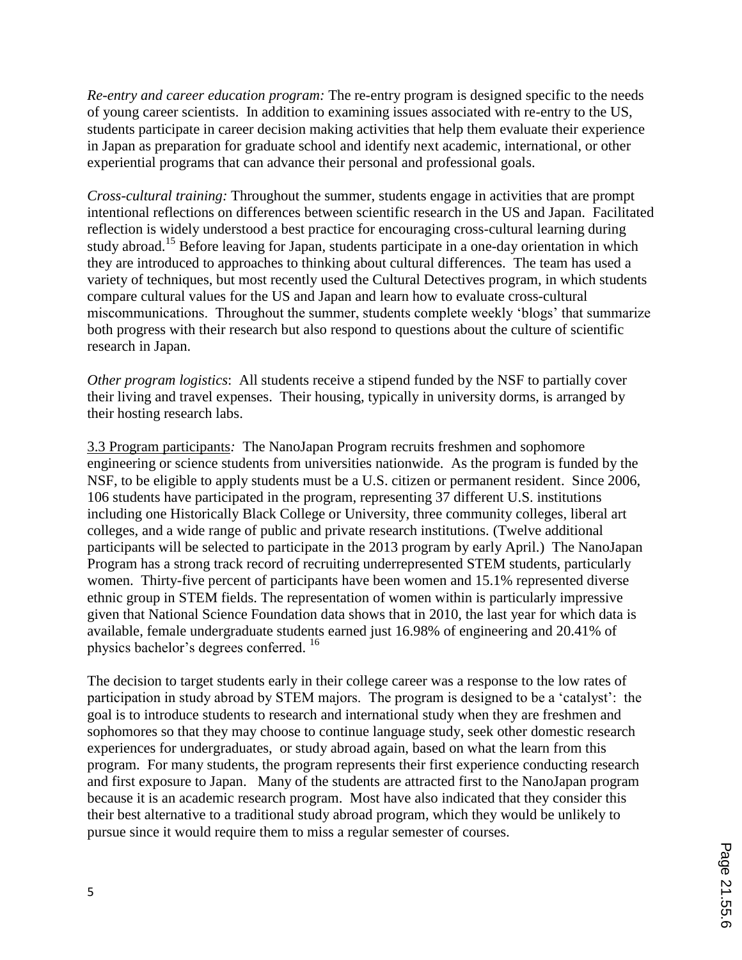*Re-entry and career education program:* The re-entry program is designed specific to the needs of young career scientists. In addition to examining issues associated with re-entry to the US, students participate in career decision making activities that help them evaluate their experience in Japan as preparation for graduate school and identify next academic, international, or other experiential programs that can advance their personal and professional goals.

*Cross-cultural training:* Throughout the summer, students engage in activities that are prompt intentional reflections on differences between scientific research in the US and Japan. Facilitated reflection is widely understood a best practice for encouraging cross-cultural learning during study abroad.<sup>15</sup> Before leaving for Japan, students participate in a one-day orientation in which they are introduced to approaches to thinking about cultural differences. The team has used a variety of techniques, but most recently used the Cultural Detectives program, in which students compare cultural values for the US and Japan and learn how to evaluate cross-cultural miscommunications. Throughout the summer, students complete weekly 'blogs' that summarize both progress with their research but also respond to questions about the culture of scientific research in Japan.

*Other program logistics*: All students receive a stipend funded by the NSF to partially cover their living and travel expenses. Their housing, typically in university dorms, is arranged by their hosting research labs.

3.3 Program participants*:* The NanoJapan Program recruits freshmen and sophomore engineering or science students from universities nationwide. As the program is funded by the NSF, to be eligible to apply students must be a U.S. citizen or permanent resident. Since 2006, 106 students have participated in the program, representing 37 different U.S. institutions including one Historically Black College or University, three community colleges, liberal art colleges, and a wide range of public and private research institutions. (Twelve additional participants will be selected to participate in the 2013 program by early April.) The NanoJapan Program has a strong track record of recruiting underrepresented STEM students, particularly women. Thirty-five percent of participants have been women and 15.1% represented diverse ethnic group in STEM fields. The representation of women within is particularly impressive given that National Science Foundation data shows that in 2010, the last year for which data is available, female undergraduate students earned just 16.98% of engineering and 20.41% of physics bachelor's degrees conferred. 16

The decision to target students early in their college career was a response to the low rates of participation in study abroad by STEM majors. The program is designed to be a 'catalyst': the goal is to introduce students to research and international study when they are freshmen and sophomores so that they may choose to continue language study, seek other domestic research experiences for undergraduates, or study abroad again, based on what the learn from this program. For many students, the program represents their first experience conducting research and first exposure to Japan. Many of the students are attracted first to the NanoJapan program because it is an academic research program. Most have also indicated that they consider this their best alternative to a traditional study abroad program, which they would be unlikely to pursue since it would require them to miss a regular semester of courses.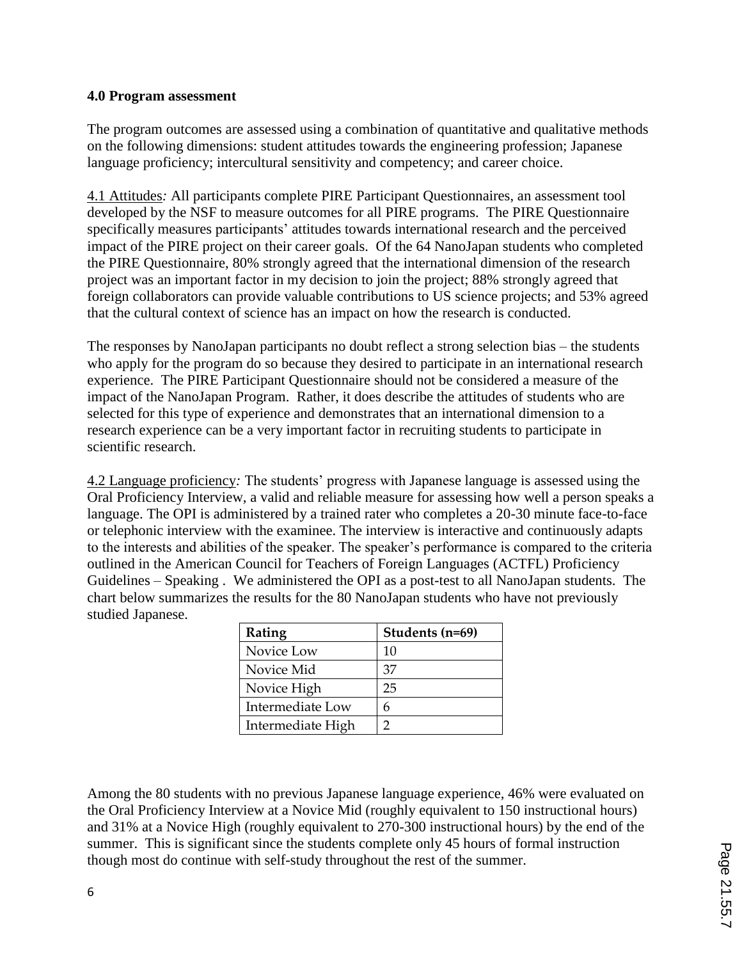#### **4.0 Program assessment**

The program outcomes are assessed using a combination of quantitative and qualitative methods on the following dimensions: student attitudes towards the engineering profession; Japanese language proficiency; intercultural sensitivity and competency; and career choice.

4.1 Attitudes*:* All participants complete PIRE Participant Questionnaires, an assessment tool developed by the NSF to measure outcomes for all PIRE programs. The PIRE Questionnaire specifically measures participants' attitudes towards international research and the perceived impact of the PIRE project on their career goals. Of the 64 NanoJapan students who completed the PIRE Questionnaire, 80% strongly agreed that the international dimension of the research project was an important factor in my decision to join the project; 88% strongly agreed that foreign collaborators can provide valuable contributions to US science projects; and 53% agreed that the cultural context of science has an impact on how the research is conducted.

The responses by NanoJapan participants no doubt reflect a strong selection bias – the students who apply for the program do so because they desired to participate in an international research experience. The PIRE Participant Questionnaire should not be considered a measure of the impact of the NanoJapan Program. Rather, it does describe the attitudes of students who are selected for this type of experience and demonstrates that an international dimension to a research experience can be a very important factor in recruiting students to participate in scientific research.

4.2 Language proficiency*:* The students' progress with Japanese language is assessed using the Oral Proficiency Interview, a valid and reliable measure for assessing how well a person speaks a language. The OPI is administered by a trained rater who completes a 20-30 minute face-to-face or telephonic interview with the examinee. The interview is interactive and continuously adapts to the interests and abilities of the speaker. The speaker's performance is compared to the criteria outlined in the American Council for Teachers of Foreign Languages (ACTFL) Proficiency Guidelines – Speaking . We administered the OPI as a post-test to all NanoJapan students. The chart below summarizes the results for the 80 NanoJapan students who have not previously studied Japanese.

| Rating            | Students (n=69) |
|-------------------|-----------------|
| Novice Low        | 10              |
| Novice Mid        | 37              |
| Novice High       | 25              |
| Intermediate Low  | h               |
| Intermediate High |                 |

Among the 80 students with no previous Japanese language experience, 46% were evaluated on the Oral Proficiency Interview at a Novice Mid (roughly equivalent to 150 instructional hours) and 31% at a Novice High (roughly equivalent to 270-300 instructional hours) by the end of the summer. This is significant since the students complete only 45 hours of formal instruction though most do continue with self-study throughout the rest of the summer.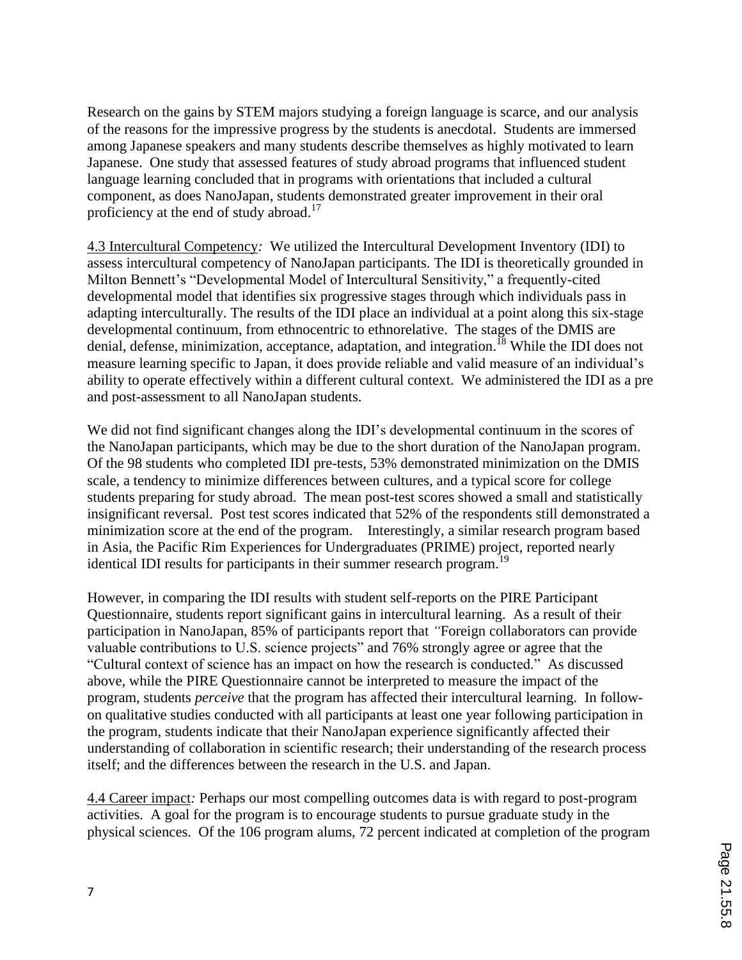Research on the gains by STEM majors studying a foreign language is scarce, and our analysis of the reasons for the impressive progress by the students is anecdotal. Students are immersed among Japanese speakers and many students describe themselves as highly motivated to learn Japanese. One study that assessed features of study abroad programs that influenced student language learning concluded that in programs with orientations that included a cultural component, as does NanoJapan, students demonstrated greater improvement in their oral proficiency at the end of study abroad.<sup>17</sup>

4.3 Intercultural Competency*:* We utilized the Intercultural Development Inventory (IDI) to assess intercultural competency of NanoJapan participants. The IDI is theoretically grounded in Milton Bennett's "Developmental Model of Intercultural Sensitivity," a frequently-cited developmental model that identifies six progressive stages through which individuals pass in adapting interculturally. The results of the IDI place an individual at a point along this six-stage developmental continuum, from ethnocentric to ethnorelative. The stages of the DMIS are denial, defense, minimization, acceptance, adaptation, and integration.<sup>18</sup> While the IDI does not measure learning specific to Japan, it does provide reliable and valid measure of an individual's ability to operate effectively within a different cultural context. We administered the IDI as a pre and post-assessment to all NanoJapan students.

We did not find significant changes along the IDI's developmental continuum in the scores of the NanoJapan participants, which may be due to the short duration of the NanoJapan program. Of the 98 students who completed IDI pre-tests, 53% demonstrated minimization on the DMIS scale, a tendency to minimize differences between cultures, and a typical score for college students preparing for study abroad. The mean post-test scores showed a small and statistically insignificant reversal. Post test scores indicated that 52% of the respondents still demonstrated a minimization score at the end of the program. Interestingly, a similar research program based in Asia, the Pacific Rim Experiences for Undergraduates (PRIME) project, reported nearly identical IDI results for participants in their summer research program.<sup>19</sup>

However, in comparing the IDI results with student self-reports on the PIRE Participant Questionnaire, students report significant gains in intercultural learning. As a result of their participation in NanoJapan, 85% of participants report that *"*Foreign collaborators can provide valuable contributions to U.S. science projects" and 76% strongly agree or agree that the "Cultural context of science has an impact on how the research is conducted." As discussed above, while the PIRE Questionnaire cannot be interpreted to measure the impact of the program, students *perceive* that the program has affected their intercultural learning. In followon qualitative studies conducted with all participants at least one year following participation in the program, students indicate that their NanoJapan experience significantly affected their understanding of collaboration in scientific research; their understanding of the research process itself; and the differences between the research in the U.S. and Japan.

4.4 Career impact*:* Perhaps our most compelling outcomes data is with regard to post-program activities. A goal for the program is to encourage students to pursue graduate study in the physical sciences. Of the 106 program alums, 72 percent indicated at completion of the program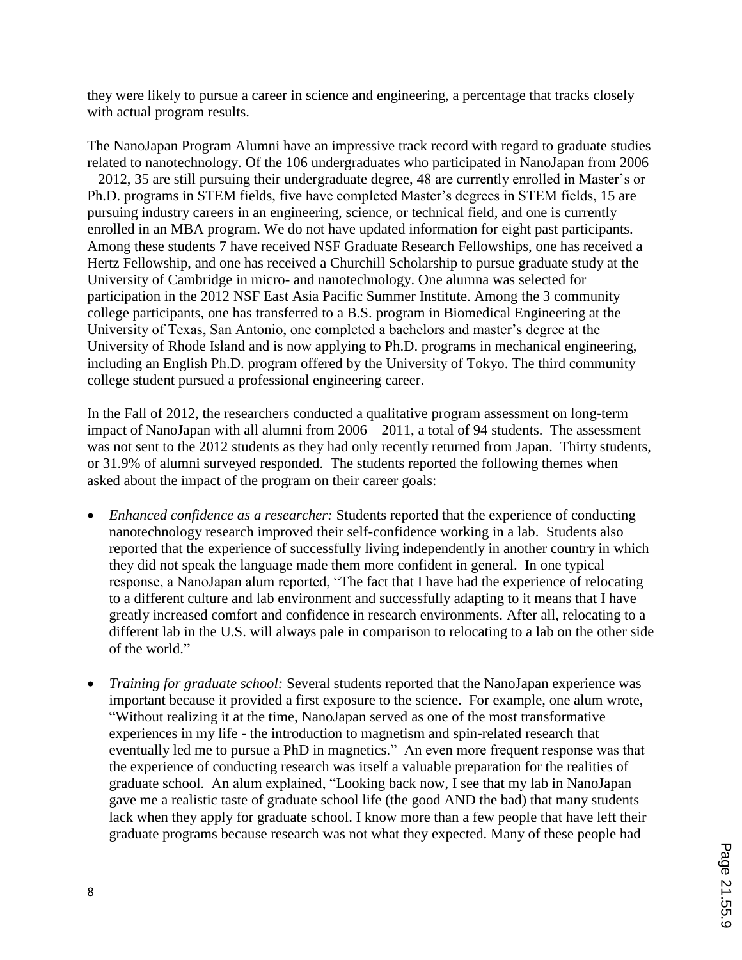they were likely to pursue a career in science and engineering, a percentage that tracks closely with actual program results.

The NanoJapan Program Alumni have an impressive track record with regard to graduate studies related to nanotechnology. Of the 106 undergraduates who participated in NanoJapan from 2006 – 2012, 35 are still pursuing their undergraduate degree, 48 are currently enrolled in Master's or Ph.D. programs in STEM fields, five have completed Master's degrees in STEM fields, 15 are pursuing industry careers in an engineering, science, or technical field, and one is currently enrolled in an MBA program. We do not have updated information for eight past participants. Among these students 7 have received NSF Graduate Research Fellowships, one has received a Hertz Fellowship, and one has received a Churchill Scholarship to pursue graduate study at the University of Cambridge in micro- and nanotechnology. One alumna was selected for participation in the 2012 NSF East Asia Pacific Summer Institute. Among the 3 community college participants, one has transferred to a B.S. program in Biomedical Engineering at the University of Texas, San Antonio, one completed a bachelors and master's degree at the University of Rhode Island and is now applying to Ph.D. programs in mechanical engineering, including an English Ph.D. program offered by the University of Tokyo. The third community college student pursued a professional engineering career.

In the Fall of 2012, the researchers conducted a qualitative program assessment on long-term impact of NanoJapan with all alumni from 2006 – 2011, a total of 94 students. The assessment was not sent to the 2012 students as they had only recently returned from Japan. Thirty students, or 31.9% of alumni surveyed responded. The students reported the following themes when asked about the impact of the program on their career goals:

- *Enhanced confidence as a researcher:* Students reported that the experience of conducting nanotechnology research improved their self-confidence working in a lab. Students also reported that the experience of successfully living independently in another country in which they did not speak the language made them more confident in general. In one typical response, a NanoJapan alum reported, "The fact that I have had the experience of relocating to a different culture and lab environment and successfully adapting to it means that I have greatly increased comfort and confidence in research environments. After all, relocating to a different lab in the U.S. will always pale in comparison to relocating to a lab on the other side of the world."
- *Training for graduate school:* Several students reported that the NanoJapan experience was important because it provided a first exposure to the science. For example, one alum wrote, "Without realizing it at the time, NanoJapan served as one of the most transformative experiences in my life - the introduction to magnetism and spin-related research that eventually led me to pursue a PhD in magnetics." An even more frequent response was that the experience of conducting research was itself a valuable preparation for the realities of graduate school. An alum explained, "Looking back now, I see that my lab in NanoJapan gave me a realistic taste of graduate school life (the good AND the bad) that many students lack when they apply for graduate school. I know more than a few people that have left their graduate programs because research was not what they expected. Many of these people had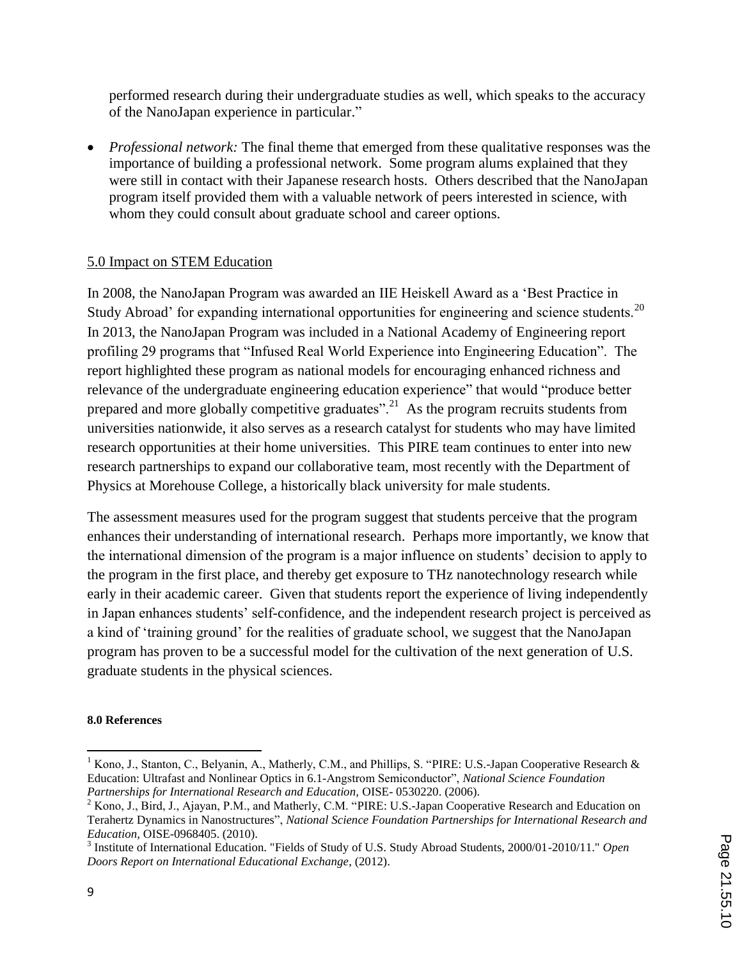performed research during their undergraduate studies as well, which speaks to the accuracy of the NanoJapan experience in particular."

• *Professional network:* The final theme that emerged from these qualitative responses was the importance of building a professional network. Some program alums explained that they were still in contact with their Japanese research hosts. Others described that the NanoJapan program itself provided them with a valuable network of peers interested in science, with whom they could consult about graduate school and career options.

### 5.0 Impact on STEM Education

In 2008, the NanoJapan Program was awarded an IIE Heiskell Award as a 'Best Practice in Study Abroad' for expanding international opportunities for engineering and science students.<sup>20</sup> In 2013, the NanoJapan Program was included in a National Academy of Engineering report profiling 29 programs that "Infused Real World Experience into Engineering Education". The report highlighted these program as national models for encouraging enhanced richness and relevance of the undergraduate engineering education experience" that would "produce better prepared and more globally competitive graduates".<sup>21</sup> As the program recruits students from universities nationwide, it also serves as a research catalyst for students who may have limited research opportunities at their home universities. This PIRE team continues to enter into new research partnerships to expand our collaborative team, most recently with the Department of Physics at Morehouse College, a historically black university for male students.

The assessment measures used for the program suggest that students perceive that the program enhances their understanding of international research. Perhaps more importantly, we know that the international dimension of the program is a major influence on students' decision to apply to the program in the first place, and thereby get exposure to THz nanotechnology research while early in their academic career. Given that students report the experience of living independently in Japan enhances students' self-confidence, and the independent research project is perceived as a kind of 'training ground' for the realities of graduate school, we suggest that the NanoJapan program has proven to be a successful model for the cultivation of the next generation of U.S. graduate students in the physical sciences.

#### **8.0 References**

 $\overline{a}$ 

<sup>&</sup>lt;sup>1</sup> Kono, J., Stanton, C., Belyanin, A., Matherly, C.M., and Phillips, S. "PIRE: U.S.-Japan Cooperative Research & Education: Ultrafast and Nonlinear Optics in 6.1-Angstrom Semiconductor", *National Science Foundation Partnerships for International Research and Education,* OISE- 0530220. (2006).

<sup>&</sup>lt;sup>2</sup> Kono, J., Bird, J., Ajayan, P.M., and Matherly, C.M. "PIRE: U.S.-Japan Cooperative Research and Education on Terahertz Dynamics in Nanostructures", *National Science Foundation Partnerships for International Research and Education,* OISE-0968405. (2010).

<sup>3</sup> Institute of International Education. "Fields of Study of U.S. Study Abroad Students, 2000/01-2010/11." *Open Doors Report on International Educational Exchange*, (2012).